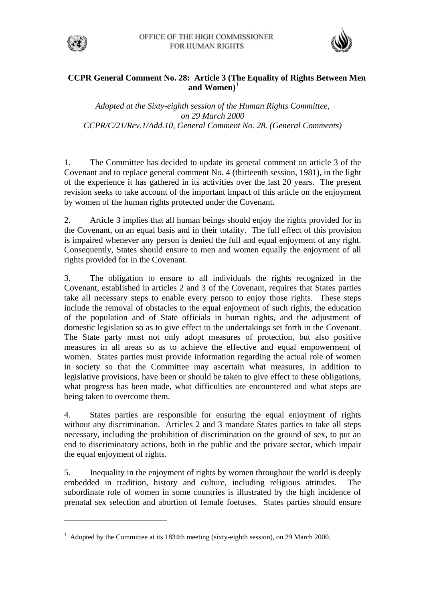

 $\overline{a}$ 



## **CCPR General Comment No. 28: Article 3 (The Equality of Rights Between Men and Women[\)](#page-0-0)**<sup>1</sup>

*Adopted at the Sixty-eighth session of the Human Rights Committee, on 29 March 2000 CCPR/C/21/Rev.1/Add.10, General Comment No. 28. (General Comments)* 

1. The Committee has decided to update its general comment on article 3 of the Covenant and to replace general comment No. 4 (thirteenth session, 1981), in the light of the experience it has gathered in its activities over the last 20 years. The present revision seeks to take account of the important impact of this article on the enjoyment by women of the human rights protected under the Covenant.

2. Article 3 implies that all human beings should enjoy the rights provided for in the Covenant, on an equal basis and in their totality. The full effect of this provision is impaired whenever any person is denied the full and equal enjoyment of any right. Consequently, States should ensure to men and women equally the enjoyment of all rights provided for in the Covenant.

3. The obligation to ensure to all individuals the rights recognized in the Covenant, established in articles 2 and 3 of the Covenant, requires that States parties take all necessary steps to enable every person to enjoy those rights. These steps include the removal of obstacles to the equal enjoyment of such rights, the education of the population and of State officials in human rights, and the adjustment of domestic legislation so as to give effect to the undertakings set forth in the Covenant. The State party must not only adopt measures of protection, but also positive measures in all areas so as to achieve the effective and equal empowerment of women. States parties must provide information regarding the actual role of women in society so that the Committee may ascertain what measures, in addition to legislative provisions, have been or should be taken to give effect to these obligations, what progress has been made, what difficulties are encountered and what steps are being taken to overcome them.

4. States parties are responsible for ensuring the equal enjoyment of rights without any discrimination. Articles 2 and 3 mandate States parties to take all steps necessary, including the prohibition of discrimination on the ground of sex, to put an end to discriminatory actions, both in the public and the private sector, which impair the equal enjoyment of rights.

5. Inequality in the enjoyment of rights by women throughout the world is deeply embedded in tradition, history and culture, including religious attitudes. The subordinate role of women in some countries is illustrated by the high incidence of prenatal sex selection and abortion of female foetuses. States parties should ensure

<span id="page-0-0"></span><sup>&</sup>lt;sup>1</sup> Adopted by the Committee at its 1834th meeting (sixty-eighth session), on 29 March 2000.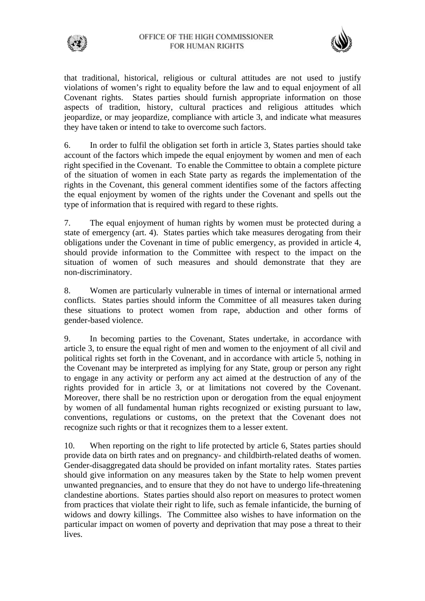



that traditional, historical, religious or cultural attitudes are not used to justify violations of women's right to equality before the law and to equal enjoyment of all Covenant rights. States parties should furnish appropriate information on those aspects of tradition, history, cultural practices and religious attitudes which jeopardize, or may jeopardize, compliance with article 3, and indicate what measures they have taken or intend to take to overcome such factors.

6. In order to fulfil the obligation set forth in article 3, States parties should take account of the factors which impede the equal enjoyment by women and men of each right specified in the Covenant. To enable the Committee to obtain a complete picture of the situation of women in each State party as regards the implementation of the rights in the Covenant, this general comment identifies some of the factors affecting the equal enjoyment by women of the rights under the Covenant and spells out the type of information that is required with regard to these rights.

7. The equal enjoyment of human rights by women must be protected during a state of emergency (art. 4). States parties which take measures derogating from their obligations under the Covenant in time of public emergency, as provided in article 4, should provide information to the Committee with respect to the impact on the situation of women of such measures and should demonstrate that they are non-discriminatory.

8. Women are particularly vulnerable in times of internal or international armed conflicts. States parties should inform the Committee of all measures taken during these situations to protect women from rape, abduction and other forms of gender-based violence.

9. In becoming parties to the Covenant, States undertake, in accordance with article 3, to ensure the equal right of men and women to the enjoyment of all civil and political rights set forth in the Covenant, and in accordance with article 5, nothing in the Covenant may be interpreted as implying for any State, group or person any right to engage in any activity or perform any act aimed at the destruction of any of the rights provided for in article 3, or at limitations not covered by the Covenant. Moreover, there shall be no restriction upon or derogation from the equal enjoyment by women of all fundamental human rights recognized or existing pursuant to law, conventions, regulations or customs, on the pretext that the Covenant does not recognize such rights or that it recognizes them to a lesser extent.

10. When reporting on the right to life protected by article 6, States parties should provide data on birth rates and on pregnancy- and childbirth-related deaths of women. Gender-disaggregated data should be provided on infant mortality rates. States parties should give information on any measures taken by the State to help women prevent unwanted pregnancies, and to ensure that they do not have to undergo life-threatening clandestine abortions. States parties should also report on measures to protect women from practices that violate their right to life, such as female infanticide, the burning of widows and dowry killings. The Committee also wishes to have information on the particular impact on women of poverty and deprivation that may pose a threat to their lives.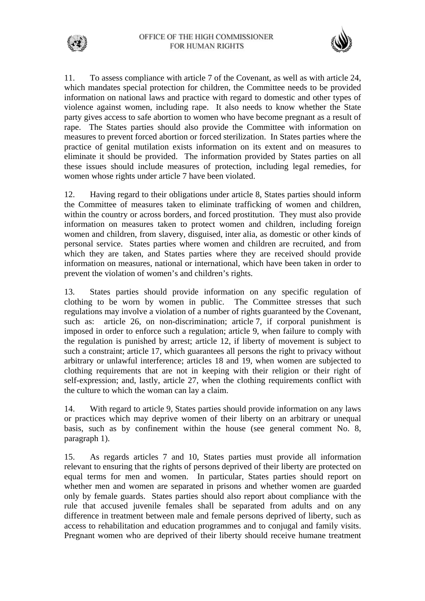

11. To assess compliance with article 7 of the Covenant, as well as with article 24, which mandates special protection for children, the Committee needs to be provided information on national laws and practice with regard to domestic and other types of violence against women, including rape. It also needs to know whether the State party gives access to safe abortion to women who have become pregnant as a result of rape. The States parties should also provide the Committee with information on measures to prevent forced abortion or forced sterilization. In States parties where the practice of genital mutilation exists information on its extent and on measures to eliminate it should be provided. The information provided by States parties on all these issues should include measures of protection, including legal remedies, for women whose rights under article 7 have been violated.

12. Having regard to their obligations under article 8, States parties should inform the Committee of measures taken to eliminate trafficking of women and children, within the country or across borders, and forced prostitution. They must also provide information on measures taken to protect women and children, including foreign women and children, from slavery, disguised, inter alia, as domestic or other kinds of personal service. States parties where women and children are recruited, and from which they are taken, and States parties where they are received should provide information on measures, national or international, which have been taken in order to prevent the violation of women's and children's rights.

13. States parties should provide information on any specific regulation of clothing to be worn by women in public. The Committee stresses that such regulations may involve a violation of a number of rights guaranteed by the Covenant, such as: article 26, on non-discrimination; article 7, if corporal punishment is imposed in order to enforce such a regulation; article 9, when failure to comply with the regulation is punished by arrest; article 12, if liberty of movement is subject to such a constraint; article 17, which guarantees all persons the right to privacy without arbitrary or unlawful interference; articles 18 and 19, when women are subjected to clothing requirements that are not in keeping with their religion or their right of self-expression; and, lastly, article 27, when the clothing requirements conflict with the culture to which the woman can lay a claim.

14. With regard to article 9, States parties should provide information on any laws or practices which may deprive women of their liberty on an arbitrary or unequal basis, such as by confinement within the house (see general comment No. 8, paragraph 1).

15. As regards articles 7 and 10, States parties must provide all information relevant to ensuring that the rights of persons deprived of their liberty are protected on equal terms for men and women. In particular, States parties should report on whether men and women are separated in prisons and whether women are guarded only by female guards. States parties should also report about compliance with the rule that accused juvenile females shall be separated from adults and on any difference in treatment between male and female persons deprived of liberty, such as access to rehabilitation and education programmes and to conjugal and family visits. Pregnant women who are deprived of their liberty should receive humane treatment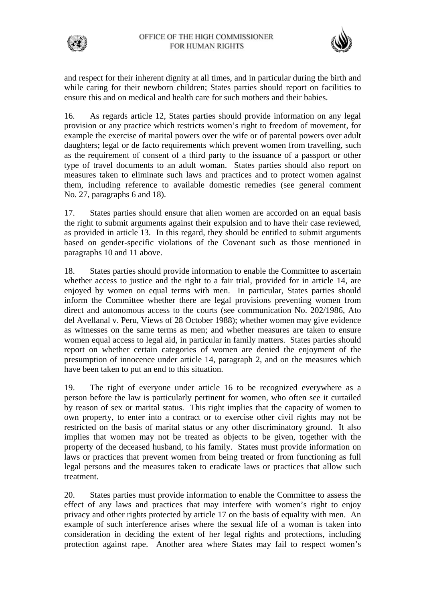



and respect for their inherent dignity at all times, and in particular during the birth and while caring for their newborn children; States parties should report on facilities to ensure this and on medical and health care for such mothers and their babies.

16. As regards article 12, States parties should provide information on any legal provision or any practice which restricts women's right to freedom of movement, for example the exercise of marital powers over the wife or of parental powers over adult daughters; legal or de facto requirements which prevent women from travelling, such as the requirement of consent of a third party to the issuance of a passport or other type of travel documents to an adult woman. States parties should also report on measures taken to eliminate such laws and practices and to protect women against them, including reference to available domestic remedies (see general comment No. 27, paragraphs 6 and 18).

17. States parties should ensure that alien women are accorded on an equal basis the right to submit arguments against their expulsion and to have their case reviewed, as provided in article 13. In this regard, they should be entitled to submit arguments based on gender-specific violations of the Covenant such as those mentioned in paragraphs 10 and 11 above.

18. States parties should provide information to enable the Committee to ascertain whether access to justice and the right to a fair trial, provided for in article 14, are enjoyed by women on equal terms with men. In particular, States parties should inform the Committee whether there are legal provisions preventing women from direct and autonomous access to the courts (see communication No. 202/1986, Ato del Avellanal v. Peru, Views of 28 October 1988); whether women may give evidence as witnesses on the same terms as men; and whether measures are taken to ensure women equal access to legal aid, in particular in family matters. States parties should report on whether certain categories of women are denied the enjoyment of the presumption of innocence under article 14, paragraph 2, and on the measures which have been taken to put an end to this situation.

19. The right of everyone under article 16 to be recognized everywhere as a person before the law is particularly pertinent for women, who often see it curtailed by reason of sex or marital status. This right implies that the capacity of women to own property, to enter into a contract or to exercise other civil rights may not be restricted on the basis of marital status or any other discriminatory ground. It also implies that women may not be treated as objects to be given, together with the property of the deceased husband, to his family. States must provide information on laws or practices that prevent women from being treated or from functioning as full legal persons and the measures taken to eradicate laws or practices that allow such treatment.

20. States parties must provide information to enable the Committee to assess the effect of any laws and practices that may interfere with women's right to enjoy privacy and other rights protected by article 17 on the basis of equality with men. An example of such interference arises where the sexual life of a woman is taken into consideration in deciding the extent of her legal rights and protections, including protection against rape. Another area where States may fail to respect women's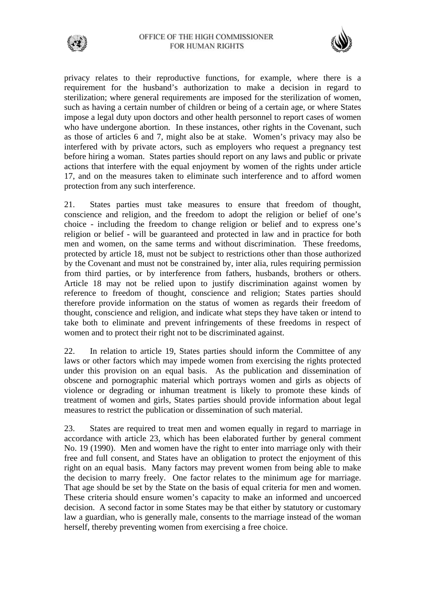



privacy relates to their reproductive functions, for example, where there is a requirement for the husband's authorization to make a decision in regard to sterilization; where general requirements are imposed for the sterilization of women, such as having a certain number of children or being of a certain age, or where States impose a legal duty upon doctors and other health personnel to report cases of women who have undergone abortion. In these instances, other rights in the Covenant, such as those of articles 6 and 7, might also be at stake. Women's privacy may also be interfered with by private actors, such as employers who request a pregnancy test before hiring a woman. States parties should report on any laws and public or private actions that interfere with the equal enjoyment by women of the rights under article 17, and on the measures taken to eliminate such interference and to afford women protection from any such interference.

21. States parties must take measures to ensure that freedom of thought, conscience and religion, and the freedom to adopt the religion or belief of one's choice - including the freedom to change religion or belief and to express one's religion or belief - will be guaranteed and protected in law and in practice for both men and women, on the same terms and without discrimination. These freedoms, protected by article 18, must not be subject to restrictions other than those authorized by the Covenant and must not be constrained by, inter alia, rules requiring permission from third parties, or by interference from fathers, husbands, brothers or others. Article 18 may not be relied upon to justify discrimination against women by reference to freedom of thought, conscience and religion; States parties should therefore provide information on the status of women as regards their freedom of thought, conscience and religion, and indicate what steps they have taken or intend to take both to eliminate and prevent infringements of these freedoms in respect of women and to protect their right not to be discriminated against.

22. In relation to article 19, States parties should inform the Committee of any laws or other factors which may impede women from exercising the rights protected under this provision on an equal basis. As the publication and dissemination of obscene and pornographic material which portrays women and girls as objects of violence or degrading or inhuman treatment is likely to promote these kinds of treatment of women and girls, States parties should provide information about legal measures to restrict the publication or dissemination of such material.

23. States are required to treat men and women equally in regard to marriage in accordance with article 23, which has been elaborated further by general comment No. 19 (1990). Men and women have the right to enter into marriage only with their free and full consent, and States have an obligation to protect the enjoyment of this right on an equal basis. Many factors may prevent women from being able to make the decision to marry freely. One factor relates to the minimum age for marriage. That age should be set by the State on the basis of equal criteria for men and women. These criteria should ensure women's capacity to make an informed and uncoerced decision. A second factor in some States may be that either by statutory or customary law a guardian, who is generally male, consents to the marriage instead of the woman herself, thereby preventing women from exercising a free choice.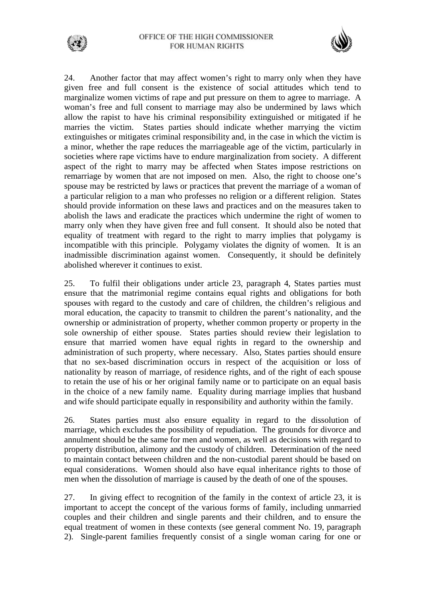

24. Another factor that may affect women's right to marry only when they have given free and full consent is the existence of social attitudes which tend to marginalize women victims of rape and put pressure on them to agree to marriage. A woman's free and full consent to marriage may also be undermined by laws which allow the rapist to have his criminal responsibility extinguished or mitigated if he marries the victim. States parties should indicate whether marrying the victim extinguishes or mitigates criminal responsibility and, in the case in which the victim is a minor, whether the rape reduces the marriageable age of the victim, particularly in societies where rape victims have to endure marginalization from society. A different aspect of the right to marry may be affected when States impose restrictions on remarriage by women that are not imposed on men. Also, the right to choose one's spouse may be restricted by laws or practices that prevent the marriage of a woman of a particular religion to a man who professes no religion or a different religion. States should provide information on these laws and practices and on the measures taken to abolish the laws and eradicate the practices which undermine the right of women to marry only when they have given free and full consent. It should also be noted that equality of treatment with regard to the right to marry implies that polygamy is incompatible with this principle. Polygamy violates the dignity of women. It is an inadmissible discrimination against women. Consequently, it should be definitely abolished wherever it continues to exist.

25. To fulfil their obligations under article 23, paragraph 4, States parties must ensure that the matrimonial regime contains equal rights and obligations for both spouses with regard to the custody and care of children, the children's religious and moral education, the capacity to transmit to children the parent's nationality, and the ownership or administration of property, whether common property or property in the sole ownership of either spouse. States parties should review their legislation to ensure that married women have equal rights in regard to the ownership and administration of such property, where necessary. Also, States parties should ensure that no sex-based discrimination occurs in respect of the acquisition or loss of nationality by reason of marriage, of residence rights, and of the right of each spouse to retain the use of his or her original family name or to participate on an equal basis in the choice of a new family name. Equality during marriage implies that husband and wife should participate equally in responsibility and authority within the family.

26. States parties must also ensure equality in regard to the dissolution of marriage, which excludes the possibility of repudiation. The grounds for divorce and annulment should be the same for men and women, as well as decisions with regard to property distribution, alimony and the custody of children. Determination of the need to maintain contact between children and the non-custodial parent should be based on equal considerations. Women should also have equal inheritance rights to those of men when the dissolution of marriage is caused by the death of one of the spouses.

27. In giving effect to recognition of the family in the context of article 23, it is important to accept the concept of the various forms of family, including unmarried couples and their children and single parents and their children, and to ensure the equal treatment of women in these contexts (see general comment No. 19, paragraph 2). Single-parent families frequently consist of a single woman caring for one or

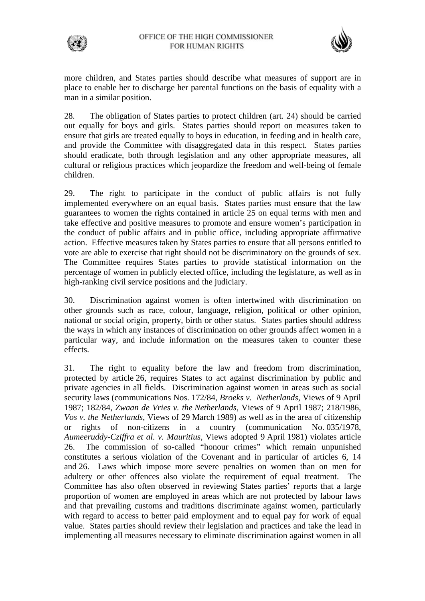



more children, and States parties should describe what measures of support are in place to enable her to discharge her parental functions on the basis of equality with a man in a similar position.

28. The obligation of States parties to protect children (art. 24) should be carried out equally for boys and girls. States parties should report on measures taken to ensure that girls are treated equally to boys in education, in feeding and in health care, and provide the Committee with disaggregated data in this respect. States parties should eradicate, both through legislation and any other appropriate measures, all cultural or religious practices which jeopardize the freedom and well-being of female children.

29. The right to participate in the conduct of public affairs is not fully implemented everywhere on an equal basis. States parties must ensure that the law guarantees to women the rights contained in article 25 on equal terms with men and take effective and positive measures to promote and ensure women's participation in the conduct of public affairs and in public office, including appropriate affirmative action. Effective measures taken by States parties to ensure that all persons entitled to vote are able to exercise that right should not be discriminatory on the grounds of sex. The Committee requires States parties to provide statistical information on the percentage of women in publicly elected office, including the legislature, as well as in high-ranking civil service positions and the judiciary.

30. Discrimination against women is often intertwined with discrimination on other grounds such as race, colour, language, religion, political or other opinion, national or social origin, property, birth or other status. States parties should address the ways in which any instances of discrimination on other grounds affect women in a particular way, and include information on the measures taken to counter these effects.

31. The right to equality before the law and freedom from discrimination, protected by article 26, requires States to act against discrimination by public and private agencies in all fields. Discrimination against women in areas such as social security laws (communications Nos. 172/84, *Broeks v. Netherlands*, Views of 9 April 1987; 182/84, *Zwaan de Vries v. the Netherlands*, Views of 9 April 1987; 218/1986, *Vos v. the Netherlands*, Views of 29 March 1989) as well as in the area of citizenship or rights of non-citizens in a country (communication No. 035/1978, *Aumeeruddy-Cziffra et al. v. Mauritius*, Views adopted 9 April 1981) violates article 26. The commission of so-called "honour crimes" which remain unpunished constitutes a serious violation of the Covenant and in particular of articles 6, 14 and 26. Laws which impose more severe penalties on women than on men for adultery or other offences also violate the requirement of equal treatment. The Committee has also often observed in reviewing States parties' reports that a large proportion of women are employed in areas which are not protected by labour laws and that prevailing customs and traditions discriminate against women, particularly with regard to access to better paid employment and to equal pay for work of equal value. States parties should review their legislation and practices and take the lead in implementing all measures necessary to eliminate discrimination against women in all